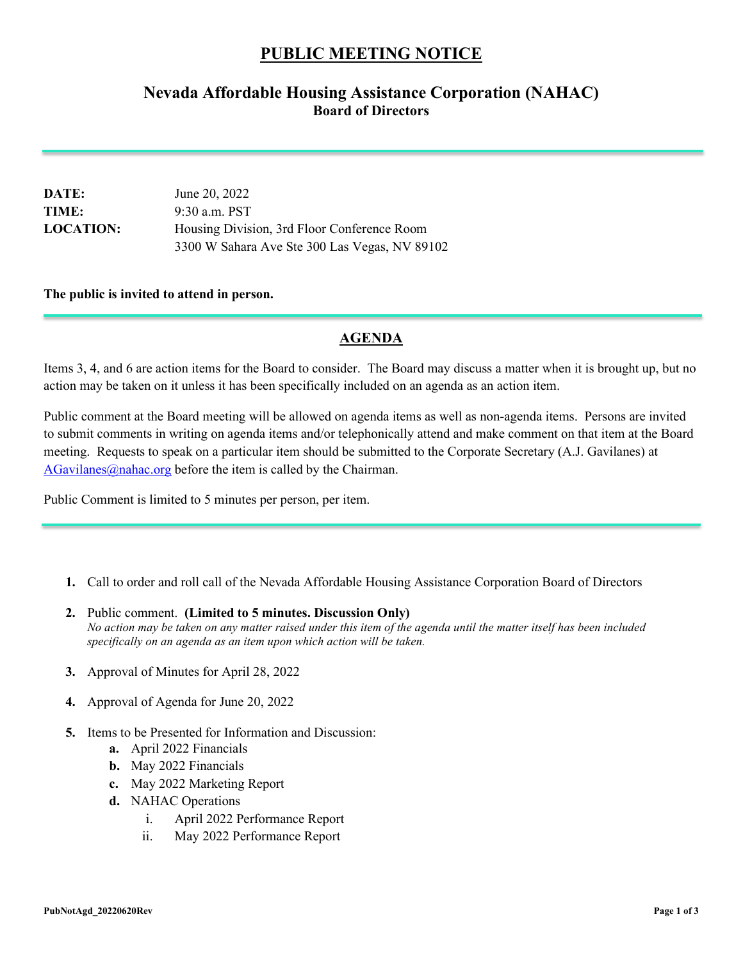## **PUBLIC MEETING NOTICE**

## **Nevada Affordable Housing Assistance Corporation (NAHAC) Board of Directors**

| <b>DATE:</b>     | June 20, 2022                                 |
|------------------|-----------------------------------------------|
| TIME:            | $9:30$ a.m. PST                               |
| <b>LOCATION:</b> | Housing Division, 3rd Floor Conference Room   |
|                  | 3300 W Sahara Ave Ste 300 Las Vegas, NV 89102 |

## **The public is invited to attend in person.**

## **AGENDA**

Items 3, 4, and 6 are action items for the Board to consider. The Board may discuss a matter when it is brought up, but no action may be taken on it unless it has been specifically included on an agenda as an action item.

Public comment at the Board meeting will be allowed on agenda items as well as non-agenda items. Persons are invited to submit comments in writing on agenda items and/or telephonically attend and make comment on that item at the Board meeting. Requests to speak on a particular item should be submitted to the Corporate Secretary (A.J. Gavilanes) at  $AGavilanes@nahac.org before the item is called by the Chairman.$  $AGavilanes@nahac.org before the item is called by the Chairman.$ 

Public Comment is limited to 5 minutes per person, per item.

- **1.** Call to order and roll call of the Nevada Affordable Housing Assistance Corporation Board of Directors
- **2.** Public comment. **(Limited to 5 minutes. Discussion Only)** *No action may be taken on any matter raised under this item of the agenda until the matter itself has been included specifically on an agenda as an item upon which action will be taken.*
- **3.** Approval of Minutes for April 28, 2022
- **4.** Approval of Agenda for June 20, 2022
- **5.** Items to be Presented for Information and Discussion:
	- **a.** April 2022 Financials
	- **b.** May 2022 Financials
	- **c.** May 2022 Marketing Report
	- **d.** NAHAC Operations
		- i. April 2022 Performance Report
		- ii. May 2022 Performance Report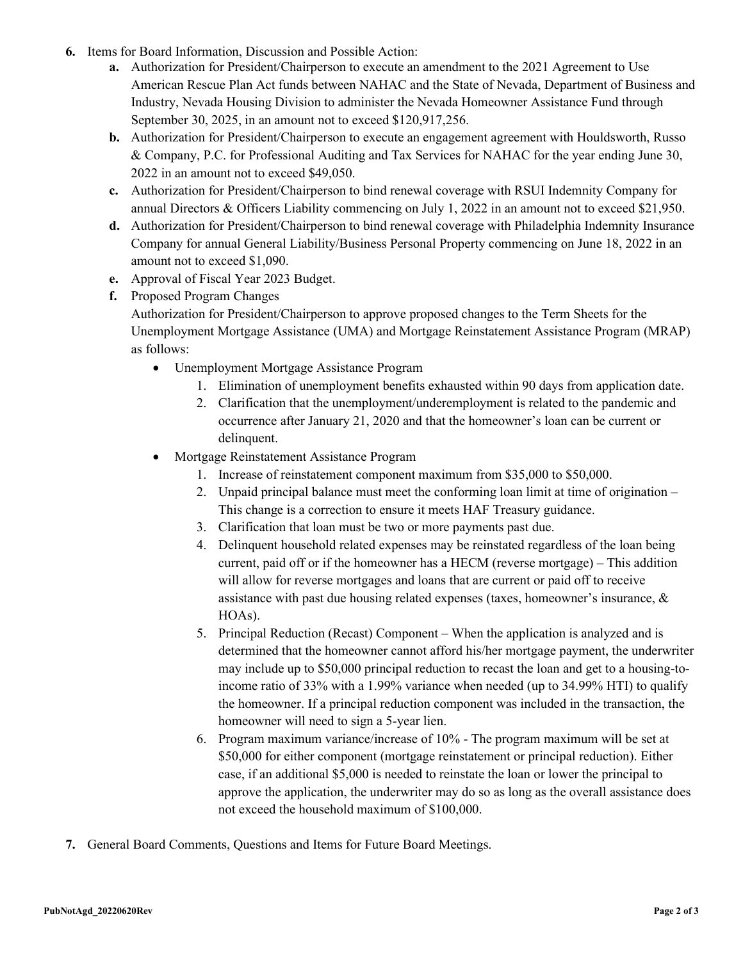- **6.** Items for Board Information, Discussion and Possible Action:
	- **a.** Authorization for President/Chairperson to execute an amendment to the 2021 Agreement to Use American Rescue Plan Act funds between NAHAC and the State of Nevada, Department of Business and Industry, Nevada Housing Division to administer the Nevada Homeowner Assistance Fund through September 30, 2025, in an amount not to exceed \$120,917,256.
	- **b.** Authorization for President/Chairperson to execute an engagement agreement with Houldsworth, Russo & Company, P.C. for Professional Auditing and Tax Services for NAHAC for the year ending June 30, 2022 in an amount not to exceed \$49,050.
	- **c.** Authorization for President/Chairperson to bind renewal coverage with RSUI Indemnity Company for annual Directors & Officers Liability commencing on July 1, 2022 in an amount not to exceed \$21,950.
	- **d.** Authorization for President/Chairperson to bind renewal coverage with Philadelphia Indemnity Insurance Company for annual General Liability/Business Personal Property commencing on June 18, 2022 in an amount not to exceed \$1,090.
	- **e.** Approval of Fiscal Year 2023 Budget.
	- **f.** Proposed Program Changes

Authorization for President/Chairperson to approve proposed changes to the Term Sheets for the Unemployment Mortgage Assistance (UMA) and Mortgage Reinstatement Assistance Program (MRAP) as follows:

- Unemployment Mortgage Assistance Program
	- 1. Elimination of unemployment benefits exhausted within 90 days from application date.
	- 2. Clarification that the unemployment/underemployment is related to the pandemic and occurrence after January 21, 2020 and that the homeowner's loan can be current or delinquent.
- Mortgage Reinstatement Assistance Program
	- 1. Increase of reinstatement component maximum from \$35,000 to \$50,000.
	- 2. Unpaid principal balance must meet the conforming loan limit at time of origination This change is a correction to ensure it meets HAF Treasury guidance.
	- 3. Clarification that loan must be two or more payments past due.
	- 4. Delinquent household related expenses may be reinstated regardless of the loan being current, paid off or if the homeowner has a HECM (reverse mortgage) – This addition will allow for reverse mortgages and loans that are current or paid off to receive assistance with past due housing related expenses (taxes, homeowner's insurance, & HOAs).
	- 5. Principal Reduction (Recast) Component When the application is analyzed and is determined that the homeowner cannot afford his/her mortgage payment, the underwriter may include up to \$50,000 principal reduction to recast the loan and get to a housing-toincome ratio of 33% with a 1.99% variance when needed (up to 34.99% HTI) to qualify the homeowner. If a principal reduction component was included in the transaction, the homeowner will need to sign a 5-year lien.
	- 6. Program maximum variance/increase of 10% The program maximum will be set at \$50,000 for either component (mortgage reinstatement or principal reduction). Either case, if an additional \$5,000 is needed to reinstate the loan or lower the principal to approve the application, the underwriter may do so as long as the overall assistance does not exceed the household maximum of \$100,000.
- **7.** General Board Comments, Questions and Items for Future Board Meetings.